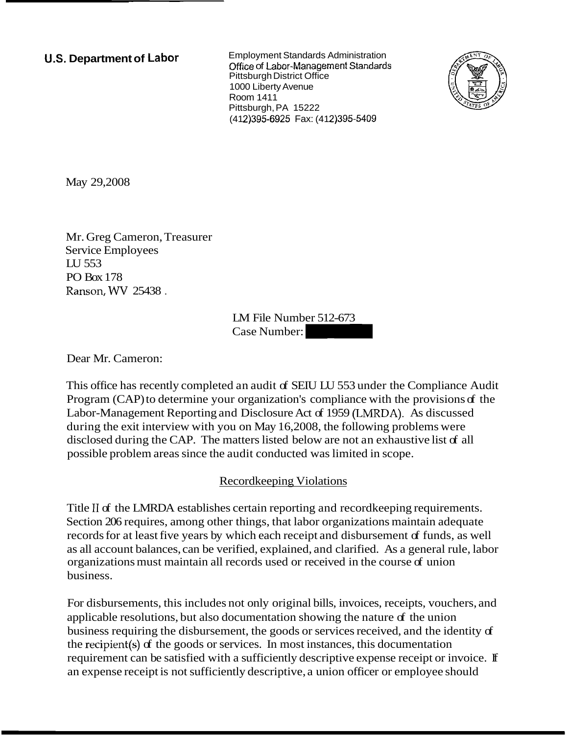**U.S. Department of Labor <b>Employment Standards Administration Office of Labor-Management Standards** Pittsburgh District Office 1000 Liberty Avenue Room 1411 Pittsburgh, PA 15222 (412) 395-6925 Fax: (412) 395-5409



May 29,2008

Mr. Greg Cameron, Treasurer Service Employees LU 553 PO Box 178 Ranson, WV 25438 .

LM File Number 512-673 LM File Number 512-673<br>Case Number:

Dear Mr. Cameron:

This office has recently completed an audit of SEIU LU 553 under the Compliance Audit Program (CAP) to determine your organization's compliance with the provisions of the Labor-Management Reporting and Disclosure Act of 1959 (LNIRDA). As discussed during the exit interview with you on May 16,2008, the following problems were disclosed during the CAP. The matters listed below are not an exhaustive list of all possible problem areas since the audit conducted was limited in scope.

## Recordkeeping Violations

Title I1 of the LMRDA establishes certain reporting and recordkeeping requirements. Section 206 requires, among other things, that labor organizations maintain adequate records for at least five years by which each receipt and disbursement of funds, as well as all account balances, can be verified, explained, and clarified. As a general rule, labor organizations must maintain all records used or received in the course of union business.

For disbursements, this includes not only original bills, invoices, receipts, vouchers, and applicable resolutions, but also documentation showing the nature of the union business requiring the disbursement, the goods or services received, and the identity of the recipient(s) of the goods or services. In most instances, this documentation requirement can be satisfied with a sufficiently descriptive expense receipt or invoice. If an expense receipt is not sufficiently descriptive, a union officer or employee should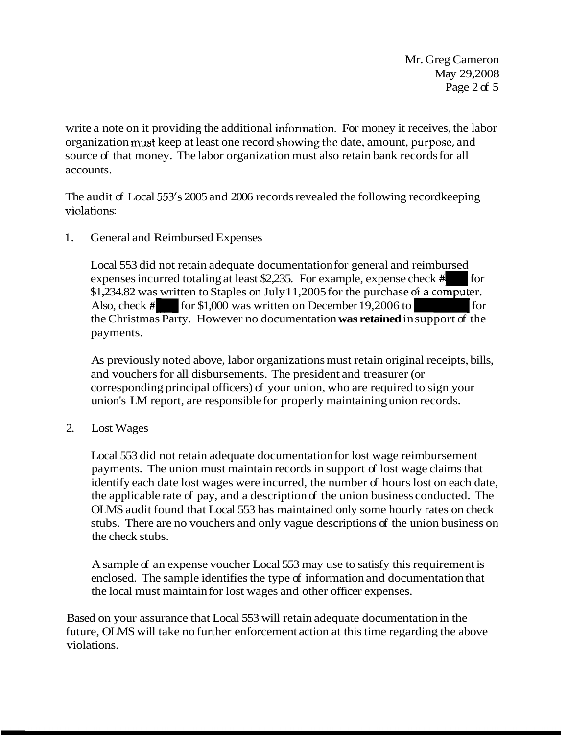Mr. Greg Cameron May 29,2008 Page 2 of 5

write a note on it providing the additional information. For money it receives, the labor organization must keep at least one record showing the date, amount, purpose, and source of that money. The labor organization must also retain bank records for all accounts.

The audit of Local 553's 2005 and 2006 records revealed the following record keeping violations:

1. General and Reimbursed Expenses

Local 553 did not retain adequate documentation for general and reimbursed expenses incurred totaling at least \$2,235. For example, expense check #I also, check #I I for \$1,234.82 was written to Staples on July 11,2005 for the purchase of a computer. \$1,234.82 was written to Staples on July 11,2005 for the purchase of a computer. General and Reimbursed Expenses<br>
Local 553 did not retain adequate documentation for general and reimbursed<br>
expenses incurred totaling at least \$2,235. For example, expense check # for<br>
for \$1,234.82 was written to Staple payments.

As previously noted above, labor organizations must retain original receipts, bills, and vouchers for all disbursements. The president and treasurer (or corresponding principal officers) of your union, who are required to sign your union's LM report, are responsible for properly maintaining union records.

2. Lost Wages

Local 553 did not retain adequate documentation for lost wage reimbursement payments. The union must maintain records in support of lost wage claims that identify each date lost wages were incurred, the number of hours lost on each date, the applicable rate of pay, and a description of the union business conducted. The OLMS audit found that Local 553 has maintained only some hourly rates on check stubs. There are no vouchers and only vague descriptions of the union business on the check stubs.

A sample of an expense voucher Local 553 may use to satisfy this requirement is enclosed. The sample identifies the type of information and documentation that the local must maintain for lost wages and other officer expenses.

Based on your assurance that Local 553 will retain adequate documentation in the future, OLMS will take no further enforcement action at this time regarding the above violations.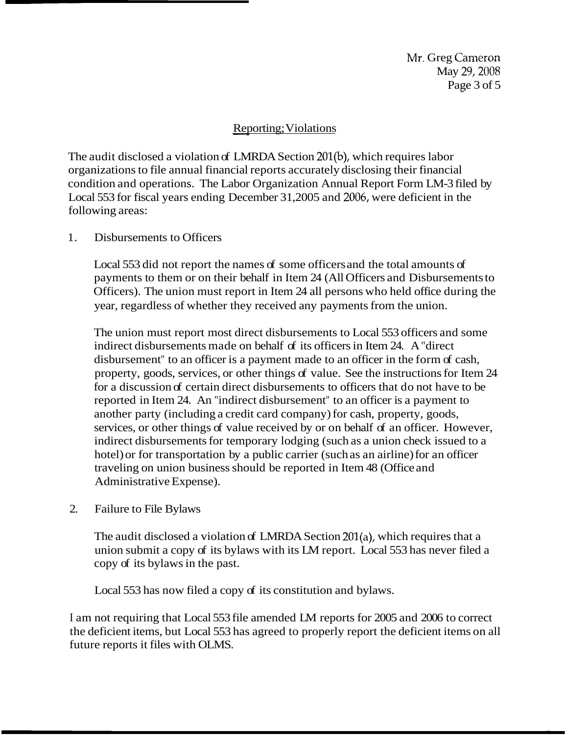Mr. Greg Cameron May 29, 2008 Page  $3$  of  $5$ 

## Reporting; Violations

The audit disclosed a violation of LMRDA Section 201(b), which requires labor organizations to file annual financial reports accurately disclosing their financial condition and operations. The Labor Organization Annual Report Form LM-3 filed by Local 553 for fiscal years ending December 31,2005 and 2006, were deficient in the following areas:

1. Disbursements to Officers

Local 553 did not report the names of some officers and the total amounts of payments to them or on their behalf in Item 24 (All Officers and Disbursements to Officers). The union must report in Item 24 all persons who held office during the year, regardless of whether they received any payments from the union.

The union must report most direct disbursements to Local 553 officers and some indirect disbursements made on behalf of its officers in Item 24. A "direct disbursement" to an officer is a payment made to an officer in the form of cash, property, goods, services, or other things of value. See the instructions for Item 24 for a discussion of certain direct disbursements to officers that do not have to be reported in Item 24. An "indirect disbursement" to an officer is a payment to another party (including a credit card company) for cash, property, goods, services, or other things of value received by or on behalf of an officer. However, indirect disbursements for temporary lodging (such as a union check issued to a hotel) or for transportation by a public carrier (such as an airline) for an officer traveling on union business should be reported in Item 48 (Office and Administrative Expense).

2. Failure to File Bylaws

The audit disclosed a violation of LMRDA Section 201(a), which requires that a union submit a copy of its bylaws with its LM report. Local 553 has never filed a copy of its bylaws in the past.

Local 553 has now filed a copy of its constitution and bylaws.

I am not requiring that Local 553 file amended LM reports for 2005 and 2006 to correct the deficient items, but Local 553 has agreed to properly report the deficient items on all future reports it files with OLMS.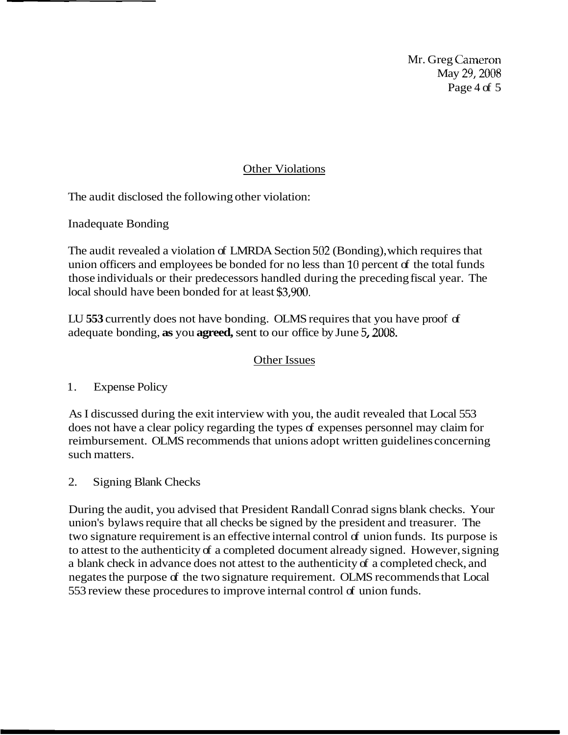Mr. Greg Cameron May 29,2008 Page 4 of 5

## Other Violations

The audit disclosed the following other violation:

Inadequate Bonding

The audit revealed a violation of LMRDA Section 502 (Bonding), which requires that union officers and employees be bonded for no less than  $10$  percent of the total funds those individuals or their predecessors handled during the preceding fiscal year. The local should have been bonded for at least **\$3,900.** 

LU **553** currently does not have bonding. OLMS requires that you have proof of adequate bonding, **as** you **agreed,** sent to our office by June 5,2008.

## Other Issues

1. Expense Policy

As I discussed during the exit interview with you, the audit revealed that Local 553 does not have a clear policy regarding the types of expenses personnel may claim for reimbursement. OLMS recommends that unions adopt written guidelines concerning such matters.

2. Signing Blank Checks

During the audit, you advised that President Randall Conrad signs blank checks. Your union's bylaws require that all checks be signed by the president and treasurer. The two signature requirement is an effective internal control of union funds. Its purpose is to attest to the authenticity of a completed document already signed. However, signing a blank check in advance does not attest to the authenticity of a completed check, and negates the purpose of the two signature requirement. OLMS recommends that Local 553 review these procedures to improve internal control of union funds.